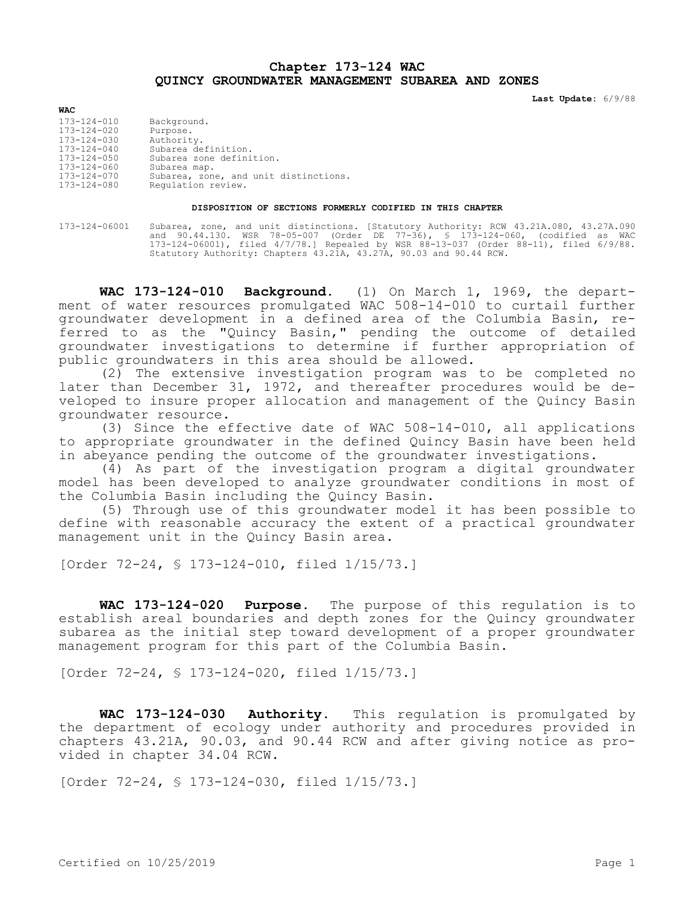## **Chapter 173-124 WAC QUINCY GROUNDWATER MANAGEMENT SUBAREA AND ZONES**

**Last Update:** 6/9/88

| 173-124-010       | Background.                           |
|-------------------|---------------------------------------|
| 173-124-020       | Purpose.                              |
| 173-124-030       | Authority.                            |
| $173 - 124 - 040$ | Subarea definition.                   |
| 173-124-050       | Subarea zone definition.              |
| 173-124-060       | Subarea map.                          |
| 173-124-070       | Subarea, zone, and unit distinctions. |
| 173-124-080       | Requlation review.                    |
|                   |                                       |

## **DISPOSITION OF SECTIONS FORMERLY CODIFIED IN THIS CHAPTER**

**WAC**

173-124-06001 Subarea, zone, and unit distinctions. [Statutory Authority: RCW 43.21A.080, 43.27A.090 and 90.44.130. WSR 78-05-007 (Order DE 77-36), § 173-124-060, (codified as WAC 173-124-06001), filed 4/7/78.] Repealed by WSR 88-13-037 (Order 88-11), filed 6/9/88. Statutory Authority: Chapters 43.21A, 43.27A, 90.03 and 90.44 RCW.

**WAC 173-124-010 Background.** (1) On March 1, 1969, the department of water resources promulgated WAC 508-14-010 to curtail further groundwater development in a defined area of the Columbia Basin, re- $\bar{f}$ erred to as the "Quincy Basin," pending the outcome of detailed groundwater investigations to determine if further appropriation of public groundwaters in this area should be allowed.

(2) The extensive investigation program was to be completed no later than December 31, 1972, and thereafter procedures would be developed to insure proper allocation and management of the Quincy Basin groundwater resource.

(3) Since the effective date of WAC 508-14-010, all applications to appropriate groundwater in the defined Quincy Basin have been held in abeyance pending the outcome of the groundwater investigations.

(4) As part of the investigation program a digital groundwater model has been developed to analyze groundwater conditions in most of the Columbia Basin including the Quincy Basin.

(5) Through use of this groundwater model it has been possible to define with reasonable accuracy the extent of a practical groundwater management unit in the Quincy Basin area.

[Order 72-24, § 173-124-010, filed 1/15/73.]

**WAC 173-124-020 Purpose.** The purpose of this regulation is to establish areal boundaries and depth zones for the Quincy groundwater subarea as the initial step toward development of a proper groundwater management program for this part of the Columbia Basin.

[Order 72-24, § 173-124-020, filed 1/15/73.]

**WAC 173-124-030 Authority.** This regulation is promulgated by the department of ecology under authority and procedures provided in chapters 43.21A, 90.03, and 90.44 RCW and after giving notice as provided in chapter 34.04 RCW.

[Order 72-24, § 173-124-030, filed 1/15/73.]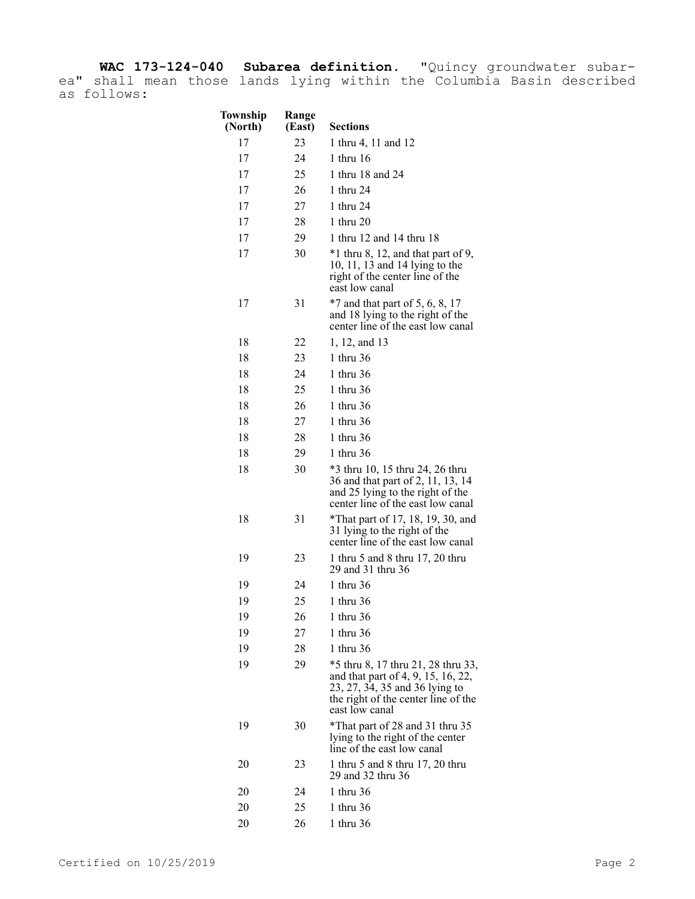**WAC 173-124-040 Subarea definition.** "Quincy groundwater subarea" shall mean those lands lying within the Columbia Basin described as follows:

| Township<br>(North) | Range<br>(East) | <b>Sections</b>                                                                                                                                                     |
|---------------------|-----------------|---------------------------------------------------------------------------------------------------------------------------------------------------------------------|
| 17                  | 23              | 1 thru 4, 11 and 12                                                                                                                                                 |
| 17                  | 24              | 1 thru 16                                                                                                                                                           |
| 17                  | 25              | 1 thru 18 and 24                                                                                                                                                    |
| 17                  | 26              | 1 thru 24                                                                                                                                                           |
| 17                  | 27              | 1 thru 24                                                                                                                                                           |
| 17                  | 28              | $1$ thru $20$                                                                                                                                                       |
| 17                  | 29              | 1 thru 12 and 14 thru 18                                                                                                                                            |
| 17                  | 30              | *1 thru 8, 12, and that part of 9,<br>10, 11, 13 and 14 lying to the<br>right of the center line of the<br>east low canal                                           |
| 17                  | 31              | $*7$ and that part of 5, 6, 8, 17<br>and 18 lying to the right of the<br>center line of the east low canal                                                          |
| 18                  | 22              | 1, 12, and 13                                                                                                                                                       |
| 18                  | 23              | 1 thru 36                                                                                                                                                           |
| 18                  | 24              | 1 thru 36                                                                                                                                                           |
| 18                  | 25              | 1 thru 36                                                                                                                                                           |
| 18                  | 26              | 1 thru 36                                                                                                                                                           |
| 18                  | 27              | 1 thru 36                                                                                                                                                           |
| 18                  | 28              | 1 thru 36                                                                                                                                                           |
| 18                  | 29              | 1 thru 36                                                                                                                                                           |
| 18                  | 30              | *3 thru 10, 15 thru 24, 26 thru<br>36 and that part of 2, 11, 13, 14<br>and 25 lying to the right of the<br>center line of the east low canal                       |
| 18                  | 31              | *That part of 17, 18, 19, 30, and<br>31 lying to the right of the<br>center line of the east low canal                                                              |
| 19                  | 23              | 1 thru 5 and 8 thru 17, 20 thru<br>29 and 31 thru 36                                                                                                                |
| 19                  | 24              | 1 thru 36                                                                                                                                                           |
| 19                  | 25              | 1 thru 36                                                                                                                                                           |
| 19                  | 26              | 1 thru 36                                                                                                                                                           |
| 19                  | 27              | 1 thru 36                                                                                                                                                           |
| 19                  | 28              | 1 thru 36                                                                                                                                                           |
| 19                  | 29              | *5 thru 8, 17 thru 21, 28 thru 33,<br>and that part of 4, 9, 15, 16, 22,<br>23, 27, 34, 35 and 36 lying to<br>the right of the center line of the<br>east low canal |
| 19                  | 30              | *That part of 28 and 31 thru 35<br>lying to the right of the center<br>line of the east low canal                                                                   |
| 20                  | 23              | 1 thru 5 and 8 thru 17, 20 thru<br>29 and 32 thru 36                                                                                                                |
| 20                  | 24              | 1 thru 36                                                                                                                                                           |
| 20                  | 25              | 1 thru 36                                                                                                                                                           |
| 20                  | 26              | 1 thru 36                                                                                                                                                           |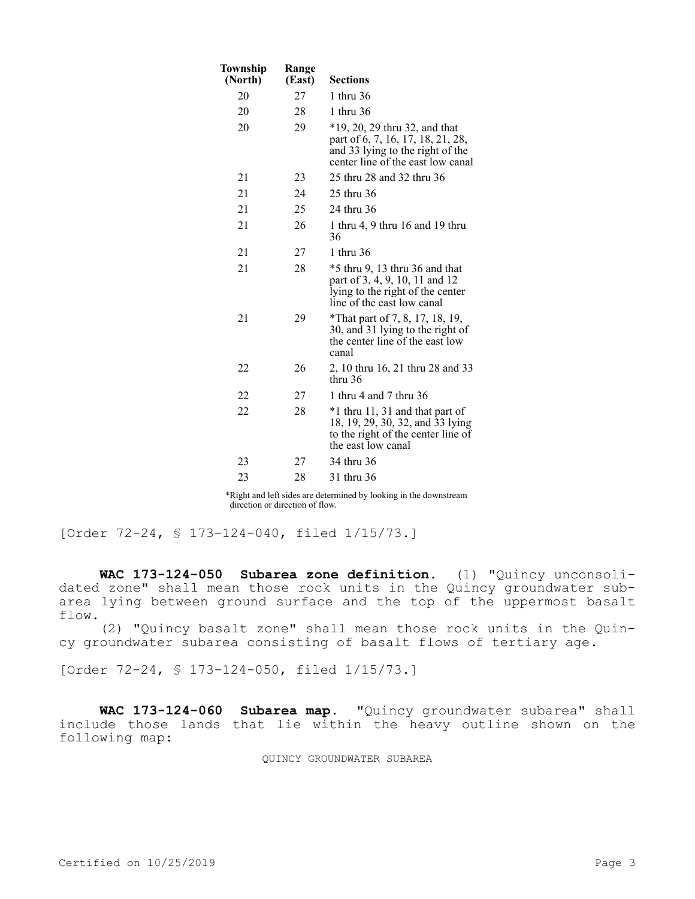| Township<br>(North) | Range<br>(East) | <b>Sections</b>                                                                                                                             |
|---------------------|-----------------|---------------------------------------------------------------------------------------------------------------------------------------------|
| 20                  | 27              | 1 thru 36                                                                                                                                   |
| 20                  | 28              | 1 thru 36                                                                                                                                   |
| 20                  | 29              | *19, 20, 29 thru 32, and that<br>part of 6, 7, 16, 17, 18, 21, 28,<br>and 33 lying to the right of the<br>center line of the east low canal |
| 21                  | 23              | 25 thru 28 and 32 thru 36                                                                                                                   |
| 21                  | 24              | 25 thru 36                                                                                                                                  |
| 21                  | 25              | 24 thru 36                                                                                                                                  |
| 21                  | 26              | 1 thru 4, 9 thru 16 and 19 thru<br>36                                                                                                       |
| 21                  | 27              | 1 thru 36                                                                                                                                   |
| 21                  | 28              | $*5$ thru 9, 13 thru 36 and that<br>part of 3, 4, 9, 10, 11 and 12<br>lying to the right of the center<br>line of the east low canal        |
| 21                  | 29              | *That part of 7, 8, 17, 18, 19,<br>30, and 31 lying to the right of<br>the center line of the east low<br>canal                             |
| 22                  | 26              | 2, 10 thru 16, 21 thru 28 and 33<br>thru 36                                                                                                 |
| 22                  | 27              | 1 thru 4 and 7 thru 36                                                                                                                      |
| 22                  | 28              | *1 thru 11, 31 and that part of<br>18, 19, 29, 30, 32, and 33 lying<br>to the right of the center line of<br>the east low canal             |
| 23                  | 27              | 34 thru 36                                                                                                                                  |
| 23                  | 28              | 31 thru 36                                                                                                                                  |

\*Right and left sides are determined by looking in the downstream direction or direction of flow.

[Order 72-24, § 173-124-040, filed 1/15/73.]

**WAC 173-124-050 Subarea zone definition.** (1) "Quincy unconsolidated zone" shall mean those rock units in the Quincy groundwater subarea lying between ground surface and the top of the uppermost basalt flow.

(2) "Quincy basalt zone" shall mean those rock units in the Quincy groundwater subarea consisting of basalt flows of tertiary age.

[Order 72-24, § 173-124-050, filed 1/15/73.]

**WAC 173-124-060 Subarea map.** "Quincy groundwater subarea" shall include those lands that lie within the heavy outline shown on the following map:

QUINCY GROUNDWATER SUBAREA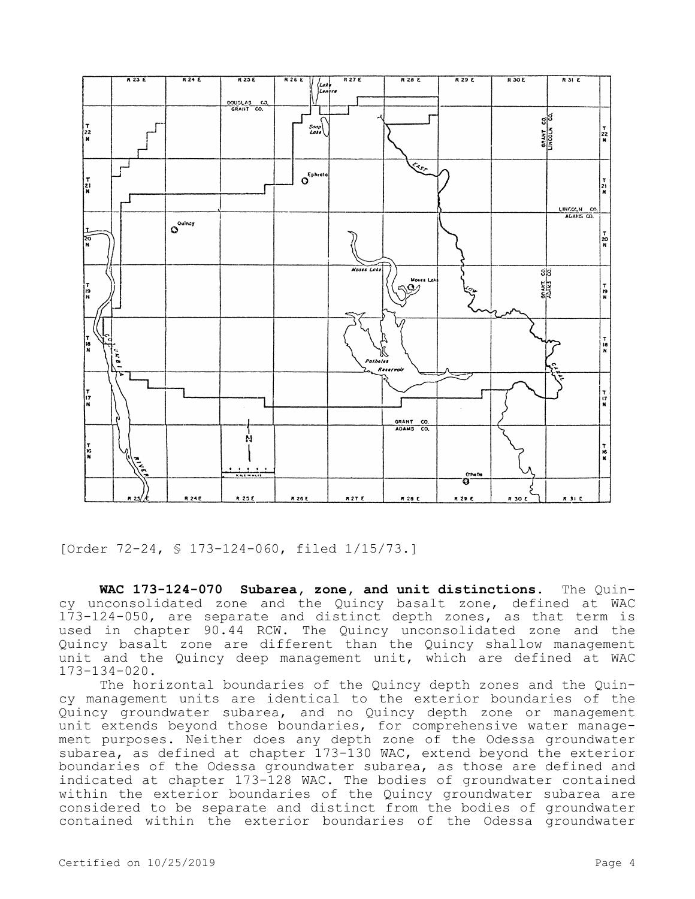

[Order 72-24, § 173-124-060, filed 1/15/73.]

**WAC 173-124-070 Subarea, zone, and unit distinctions.** The Quincy unconsolidated zone and the Quincy basalt zone, defined at WAC 173-124-050, are separate and distinct depth zones, as that term is used in chapter 90.44 RCW. The Quincy unconsolidated zone and the Quincy basalt zone are different than the Quincy shallow management unit and the Quincy deep management unit, which are defined at WAC 173-134-020.

The horizontal boundaries of the Quincy depth zones and the Quincy management units are identical to the exterior boundaries of the Quincy groundwater subarea, and no Quincy depth zone or management unit extends beyond those boundaries, for comprehensive water management purposes. Neither does any depth zone of the Odessa groundwater subarea, as defined at chapter 173-130 WAC, extend beyond the exterior boundaries of the Odessa groundwater subarea, as those are defined and indicated at chapter 173-128 WAC. The bodies of groundwater contained within the exterior boundaries of the Quincy groundwater subarea are considered to be separate and distinct from the bodies of groundwater contained within the exterior boundaries of the Odessa groundwater